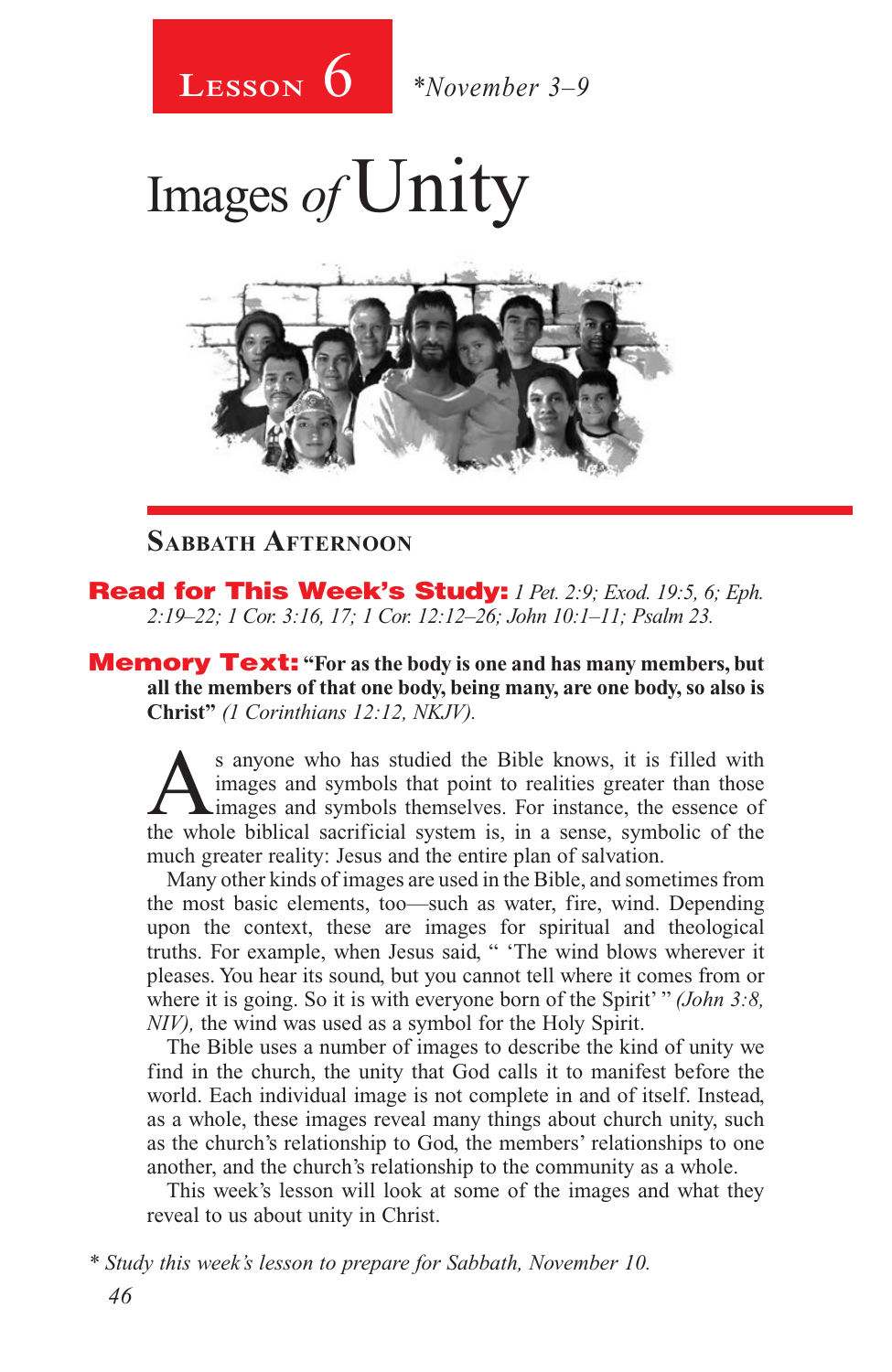

Images of Unity



#### **Sabbath Afternoon**

Read for This Week's Study: *1 Pet. 2:9; Exod. 19:5, 6; Eph. 2:19–22; 1 Cor. 3:16, 17; 1 Cor. 12:12–26; John 10:1–11; Psalm 23.*

Memory Text: **"For as the body is one and has many members, but all the members of that one body, being many, are one body, so also is Christ"** *(1 Corinthians 12:12, NKJV).* 

S anyone who has studied the Bible knows, it is filled with images and symbols that point to realities greater than those images and symbols themselves. For instance, the essence of the whole biblical secrificial system is images and symbols that point to realities greater than those the whole biblical sacrificial system is, in a sense, symbolic of the much greater reality: Jesus and the entire plan of salvation.

Many other kinds of images are used in the Bible, and sometimes from the most basic elements, too—such as water, fire, wind. Depending upon the context, these are images for spiritual and theological truths. For example, when Jesus said, " 'The wind blows wherever it pleases. You hear its sound, but you cannot tell where it comes from or where it is going. So it is with everyone born of the Spirit' " *(John 3:8, where it is going. So it is with everyone born of the Spirit'* " *NIV),* the wind was used as a symbol for the Holy Spirit.

The Bible uses a number of images to describe the kind of unity we find in the church, the unity that God calls it to manifest before the world. Each individual image is not complete in and of itself. Instead, as a whole, these images reveal many things about church unity, such as the church's relationship to God, the members' relationships to one another, and the church's relationship to the community as a whole.

This week's lesson will look at some of the images and what they reveal to us about unity in Christ.

*<sup>46</sup> \* Study this week's lesson to prepare for Sabbath, November 10.*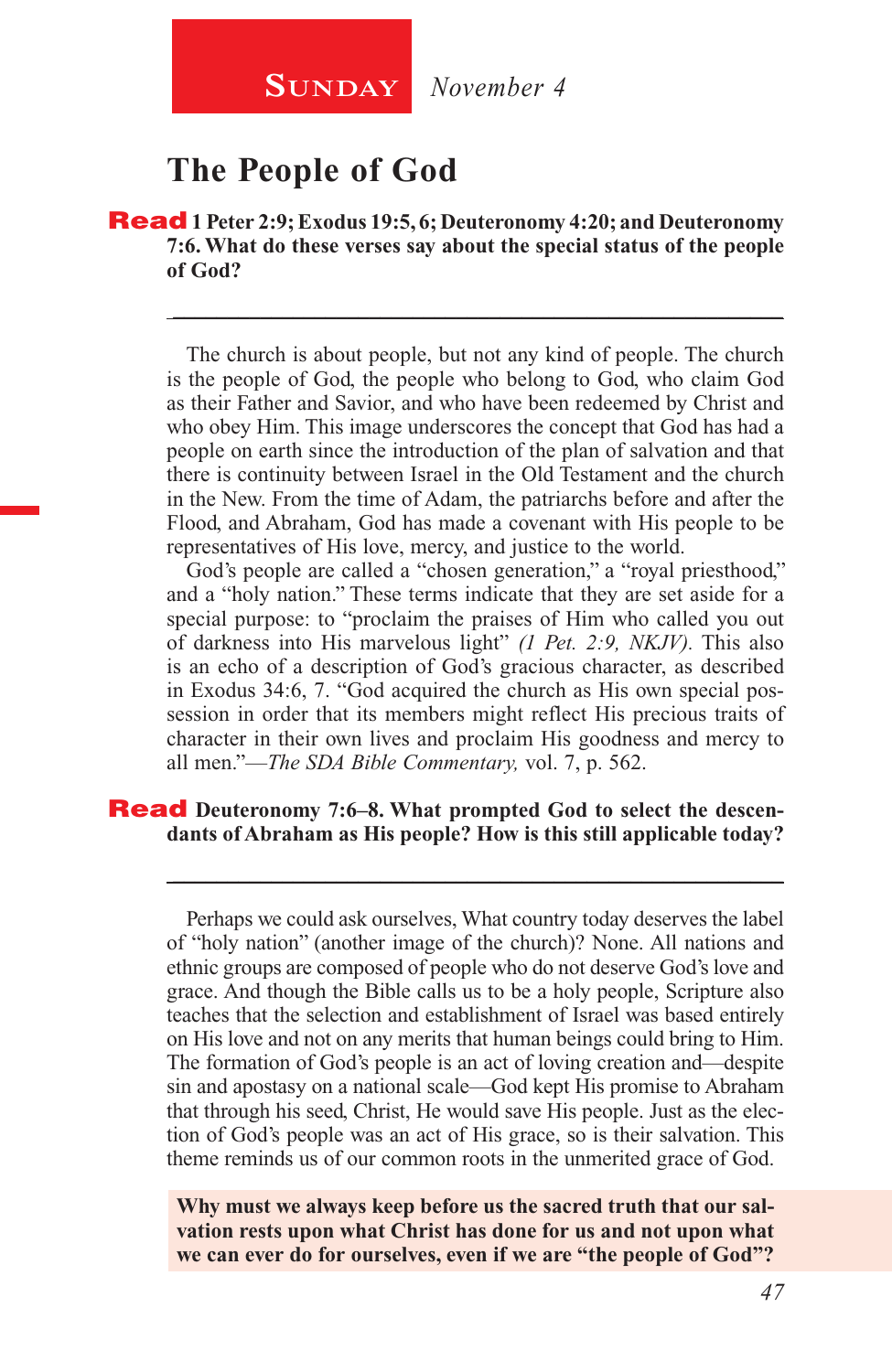

### **The People of God**

Read **1 Peter 2:9; Exodus 19:5, 6; Deuteronomy 4:20; and Deuteronomy 7:6. What do these verses say about the special status of the people of God?**

The church is about people, but not any kind of people. The church is the people of God, the people who belong to God, who claim God as their Father and Savior, and who have been redeemed by Christ and who obey Him. This image underscores the concept that God has had a people on earth since the introduction of the plan of salvation and that there is continuity between Israel in the Old Testament and the church in the New. From the time of Adam, the patriarchs before and after the Flood, and Abraham, God has made a covenant with His people to be representatives of His love, mercy, and justice to the world.

\_\_\_\_\_\_\_\_\_\_\_\_\_\_\_\_\_\_\_\_\_\_\_\_\_\_\_\_\_\_\_\_\_\_\_\_\_\_\_\_\_\_\_\_\_\_\_\_\_\_\_\_\_\_\_\_

God's people are called a "chosen generation," a "royal priesthood," and a "holy nation." These terms indicate that they are set aside for a special purpose: to "proclaim the praises of Him who called you out of darkness into His marvelous light" *(1 Pet. 2:9, NKJV).* This also is an echo of a description of God's gracious character, as described in Exodus 34:6, 7. "God acquired the church as His own special possession in order that its members might reflect His precious traits of character in their own lives and proclaim His goodness and mercy to all men."—*The SDA Bible Commentary,* vol. 7, p. 562.

#### **Read** Deuteronomy 7:6–8. What prompted God to select the descen**dants of Abraham as His people? How is this still applicable today?**

Perhaps we could ask ourselves, What country today deserves the label of "holy nation" (another image of the church)? None. All nations and ethnic groups are composed of people who do not deserve God's love and grace. And though the Bible calls us to be a holy people, Scripture also teaches that the selection and establishment of Israel was based entirely on His love and not on any merits that human beings could bring to Him. The formation of God's people is an act of loving creation and—despite sin and apostasy on a national scale—God kept His promise to Abraham that through his seed, Christ, He would save His people. Just as the election of God's people was an act of His grace, so is their salvation. This theme reminds us of our common roots in the unmerited grace of God.

\_\_\_\_\_\_\_\_\_\_\_\_\_\_\_\_\_\_\_\_\_\_\_\_\_\_\_\_\_\_\_\_\_\_\_\_\_\_\_\_\_\_\_\_\_\_\_\_\_\_\_\_\_\_\_\_

**Why must we always keep before us the sacred truth that our salvation rests upon what Christ has done for us and not upon what we can ever do for ourselves, even if we are "the people of God"?**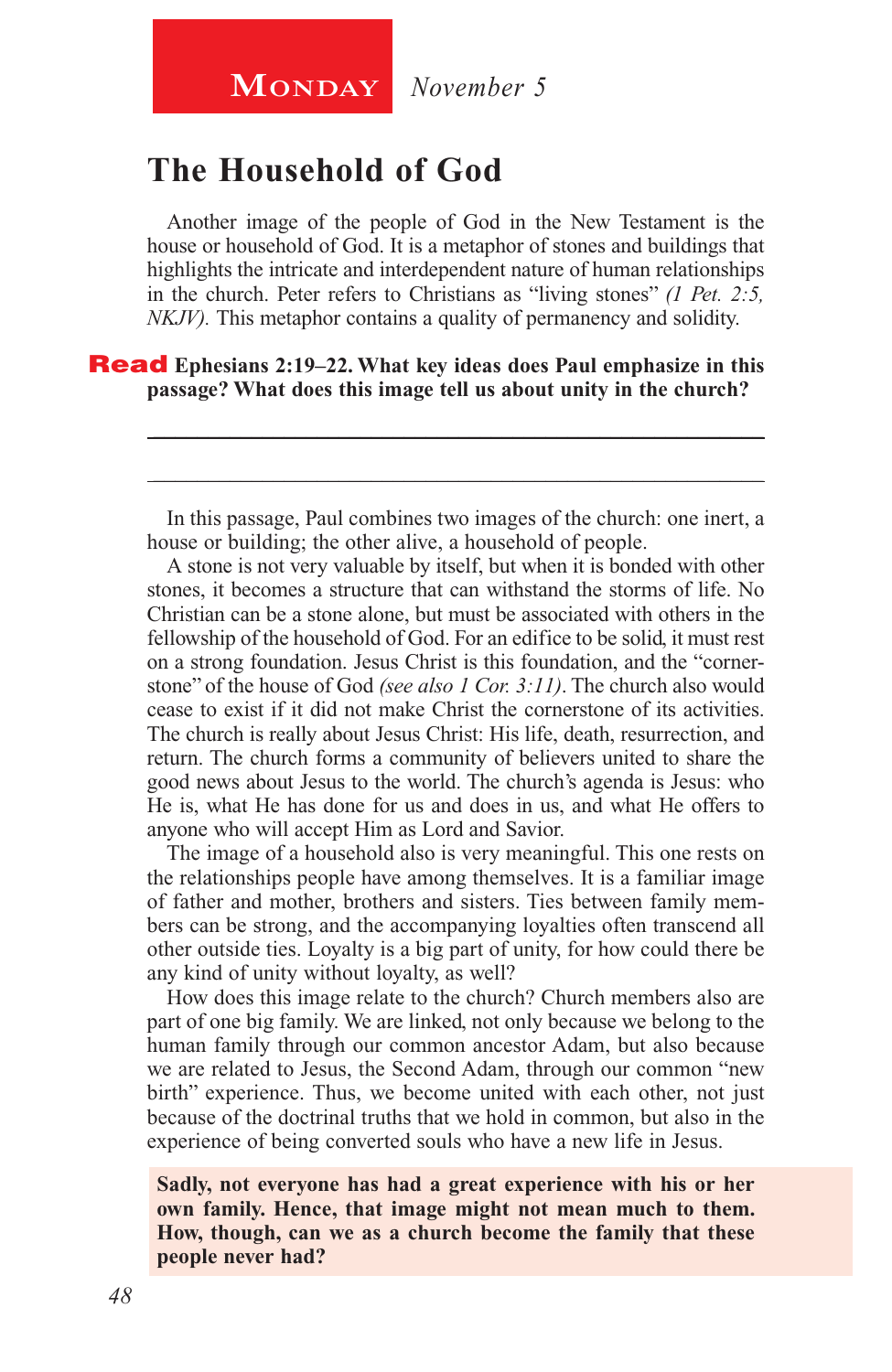# **The Household of God**

Another image of the people of God in the New Testament is the house or household of God. It is a metaphor of stones and buildings that highlights the intricate and interdependent nature of human relationships in the church. Peter refers to Christians as "living stones" *(1 Pet. 2:5, NKJV).* This metaphor contains a quality of permanency and solidity.

#### Read **Ephesians 2:19–22. What key ideas does Paul emphasize in this passage? What does this image tell us about unity in the church?**

In this passage, Paul combines two images of the church: one inert, a house or building; the other alive, a household of people.

\_\_\_\_\_\_\_\_\_\_\_\_\_\_\_\_\_\_\_\_\_\_\_\_\_\_\_\_\_\_\_\_\_\_\_\_\_\_\_\_\_\_\_\_\_\_\_\_\_\_\_\_\_\_\_\_

\_\_\_\_\_\_\_\_\_\_\_\_\_\_\_\_\_\_\_\_\_\_\_\_\_\_\_\_\_\_\_\_\_\_\_\_\_\_\_\_\_\_\_\_\_\_\_\_\_\_\_\_\_\_\_\_

A stone is not very valuable by itself, but when it is bonded with other stones, it becomes a structure that can withstand the storms of life. No Christian can be a stone alone, but must be associated with others in the fellowship of the household of God. For an edifice to be solid, it must rest on a strong foundation. Jesus Christ is this foundation, and the "cornerstone" of the house of God *(see also 1 Cor. 3:11)*. The church also would cease to exist if it did not make Christ the cornerstone of its activities. The church is really about Jesus Christ: His life, death, resurrection, and return. The church forms a community of believers united to share the good news about Jesus to the world. The church's agenda is Jesus: who He is, what He has done for us and does in us, and what He offers to anyone who will accept Him as Lord and Savior.

The image of a household also is very meaningful. This one rests on the relationships people have among themselves. It is a familiar image of father and mother, brothers and sisters. Ties between family members can be strong, and the accompanying loyalties often transcend all other outside ties. Loyalty is a big part of unity, for how could there be any kind of unity without loyalty, as well?

How does this image relate to the church? Church members also are part of one big family. We are linked, not only because we belong to the human family through our common ancestor Adam, but also because we are related to Jesus, the Second Adam, through our common "new birth" experience. Thus, we become united with each other, not just because of the doctrinal truths that we hold in common, but also in the experience of being converted souls who have a new life in Jesus.

**Sadly, not everyone has had a great experience with his or her own family. Hence, that image might not mean much to them. How, though, can we as a church become the family that these people never had?**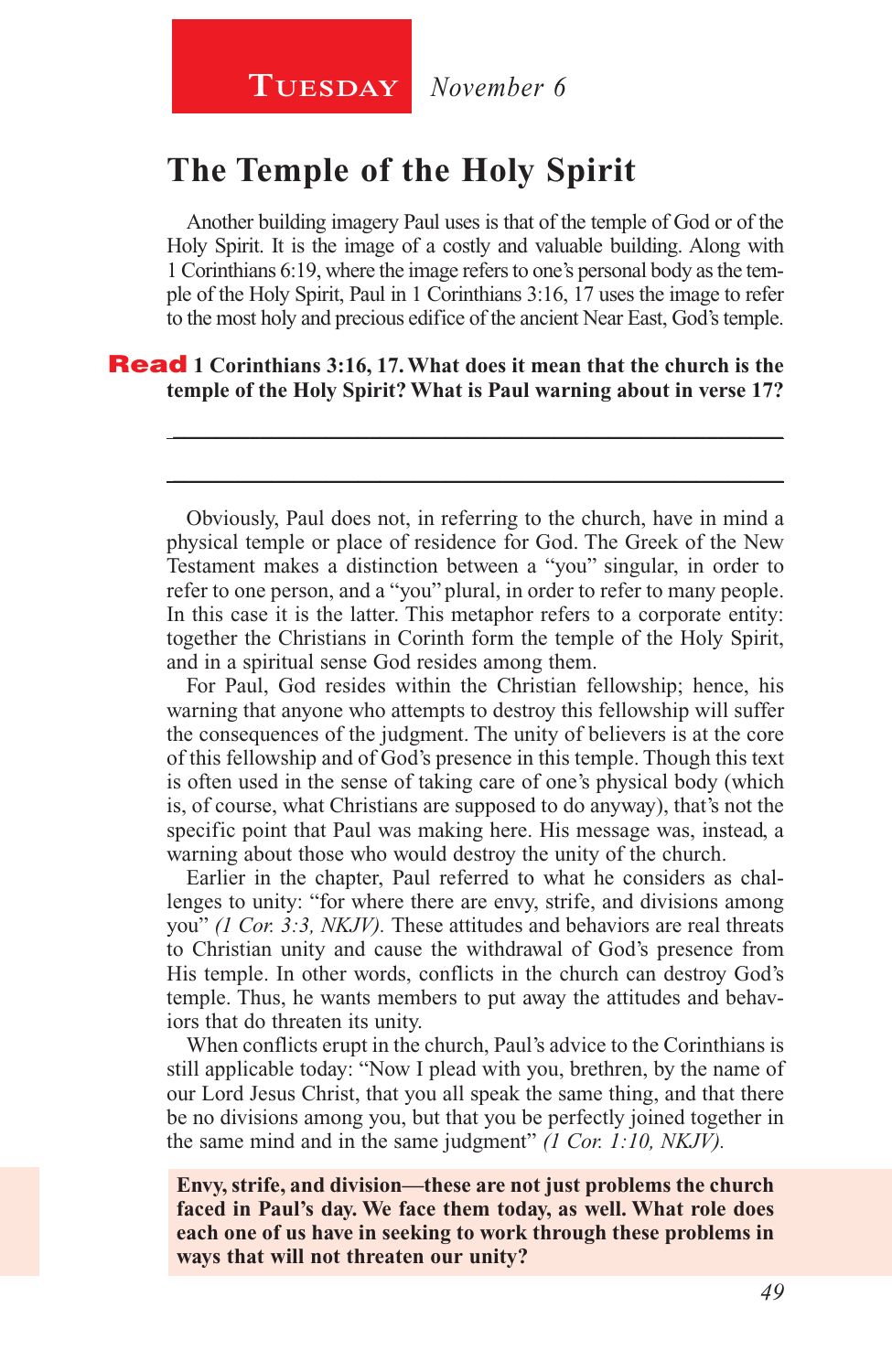# **The Temple of the Holy Spirit**

Another building imagery Paul uses is that of the temple of God or of the Holy Spirit. It is the image of a costly and valuable building. Along with 1 Corinthians 6:19, where the image refers to one's personal body as the temple of the Holy Spirit, Paul in 1 Corinthians 3:16, 17 uses the image to refer to the most holy and precious edifice of the ancient Near East, God's temple.

#### Read **1 Corinthians 3:16, 17. What does it mean that the church is the temple of the Holy Spirit? What is Paul warning about in verse 17?**

Obviously, Paul does not, in referring to the church, have in mind a physical temple or place of residence for God. The Greek of the New Testament makes a distinction between a "you" singular, in order to refer to one person, and a "you" plural, in order to refer to many people. In this case it is the latter. This metaphor refers to a corporate entity: together the Christians in Corinth form the temple of the Holy Spirit, and in a spiritual sense God resides among them.

\_\_\_\_\_\_\_\_\_\_\_\_\_\_\_\_\_\_\_\_\_\_\_\_\_\_\_\_\_\_\_\_\_\_\_\_\_\_\_\_\_\_\_\_\_\_\_\_\_\_\_\_\_\_\_\_

\_\_\_\_\_\_\_\_\_\_\_\_\_\_\_\_\_\_\_\_\_\_\_\_\_\_\_\_\_\_\_\_\_\_\_\_\_\_\_\_\_\_\_\_\_\_\_\_\_\_\_\_\_\_\_\_

For Paul, God resides within the Christian fellowship; hence, his warning that anyone who attempts to destroy this fellowship will suffer the consequences of the judgment. The unity of believers is at the core of this fellowship and of God's presence in this temple. Though this text is often used in the sense of taking care of one's physical body (which is, of course, what Christians are supposed to do anyway), that's not the specific point that Paul was making here. His message was, instead, a warning about those who would destroy the unity of the church.

Earlier in the chapter, Paul referred to what he considers as challenges to unity: "for where there are envy, strife, and divisions among you" *(1 Cor. 3:3, NKJV).* These attitudes and behaviors are real threats to Christian unity and cause the withdrawal of God's presence from His temple. In other words, conflicts in the church can destroy God's temple. Thus, he wants members to put away the attitudes and behaviors that do threaten its unity.

When conflicts erupt in the church, Paul's advice to the Corinthians is still applicable today: "Now I plead with you, brethren, by the name of our Lord Jesus Christ, that you all speak the same thing, and that there be no divisions among you, but that you be perfectly joined together in the same mind and in the same judgment" *(1 Cor. 1:10, NKJV).*

**Envy, strife, and division—these are not just problems the church faced in Paul's day. We face them today, as well. What role does each one of us have in seeking to work through these problems in ways that will not threaten our unity?**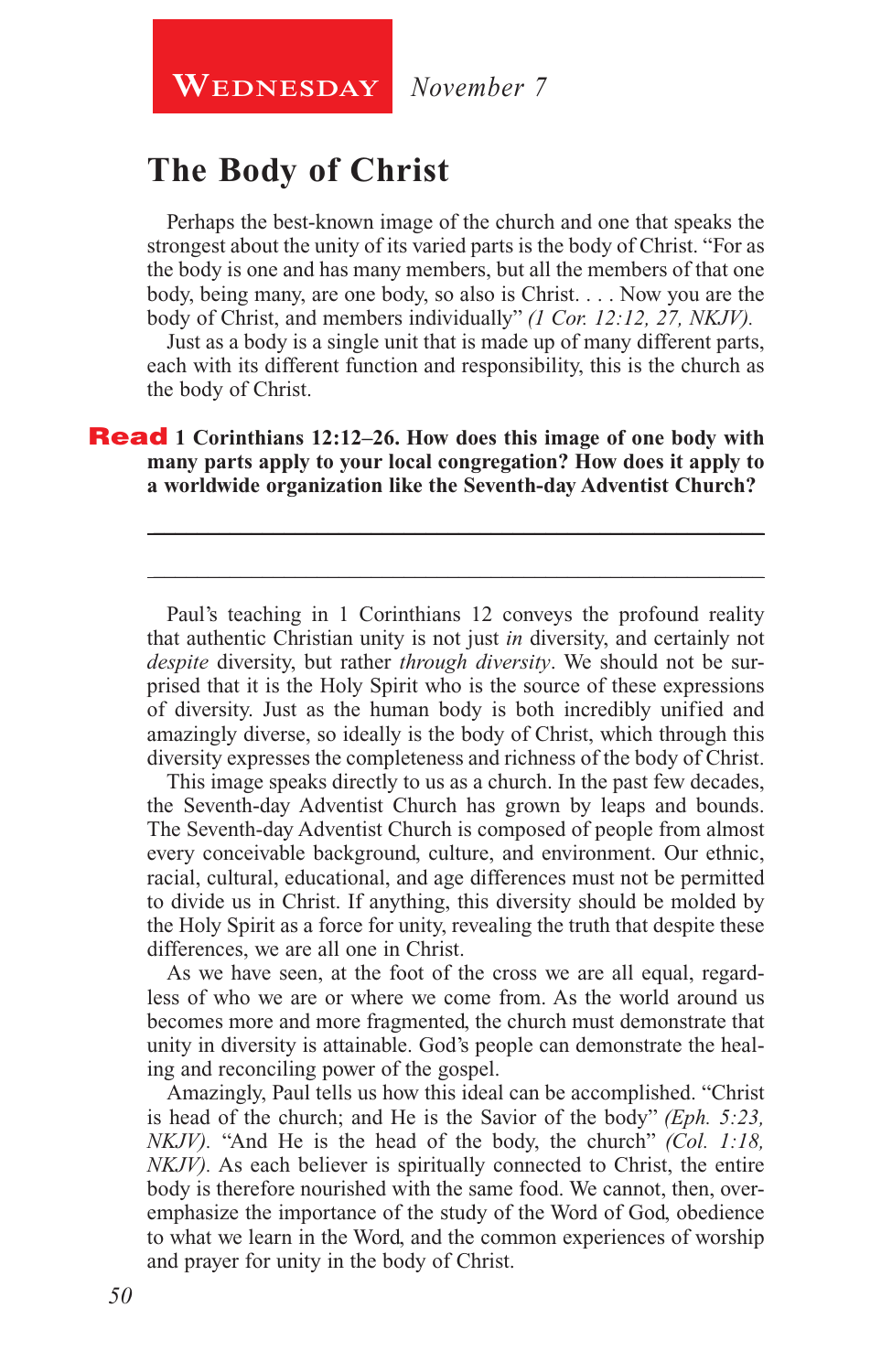**WEDNESDAY** November 7

# **The Body of Christ**

Perhaps the best-known image of the church and one that speaks the strongest about the unity of its varied parts is the body of Christ. "For as the body is one and has many members, but all the members of that one body, being many, are one body, so also is Christ. . . . Now you are the body of Christ, and members individually" *(1 Cor. 12:12, 27, NKJV).*

Just as a body is a single unit that is made up of many different parts, each with its different function and responsibility, this is the church as the body of Christ.

\_\_\_\_\_\_\_\_\_\_\_\_\_\_\_\_\_\_\_\_\_\_\_\_\_\_\_\_\_\_\_\_\_\_\_\_\_\_\_\_\_\_\_\_\_\_\_\_\_\_\_\_\_\_\_\_

\_\_\_\_\_\_\_\_\_\_\_\_\_\_\_\_\_\_\_\_\_\_\_\_\_\_\_\_\_\_\_\_\_\_\_\_\_\_\_\_\_\_\_\_\_\_\_\_\_\_\_\_\_\_\_\_

#### **Read** 1 Corinthians 12:12–26. How does this image of one body with **many parts apply to your local congregation? How does it apply to a worldwide organization like the Seventh-day Adventist Church?**

Paul's teaching in 1 Corinthians 12 conveys the profound reality that authentic Christian unity is not just *in* diversity, and certainly not *despite* diversity, but rather *through diversity*. We should not be surprised that it is the Holy Spirit who is the source of these expressions of diversity. Just as the human body is both incredibly unified and amazingly diverse, so ideally is the body of Christ, which through this diversity expresses the completeness and richness of the body of Christ.

This image speaks directly to us as a church. In the past few decades, the Seventh-day Adventist Church has grown by leaps and bounds. The Seventh-day Adventist Church is composed of people from almost every conceivable background, culture, and environment. Our ethnic, racial, cultural, educational, and age differences must not be permitted to divide us in Christ. If anything, this diversity should be molded by the Holy Spirit as a force for unity, revealing the truth that despite these differences, we are all one in Christ.

As we have seen, at the foot of the cross we are all equal, regardless of who we are or where we come from. As the world around us becomes more and more fragmented, the church must demonstrate that unity in diversity is attainable. God's people can demonstrate the healing and reconciling power of the gospel.

Amazingly, Paul tells us how this ideal can be accomplished. "Christ is head of the church; and He is the Savior of the body" *(Eph. 5:23, NKJV).* "And He is the head of the body, the church" *(Col. 1:18, NKJV*). As each believer is spiritually connected to Christ, the entire body is therefore nourished with the same food. We cannot, then, overemphasize the importance of the study of the Word of God, obedience to what we learn in the Word, and the common experiences of worship and prayer for unity in the body of Christ.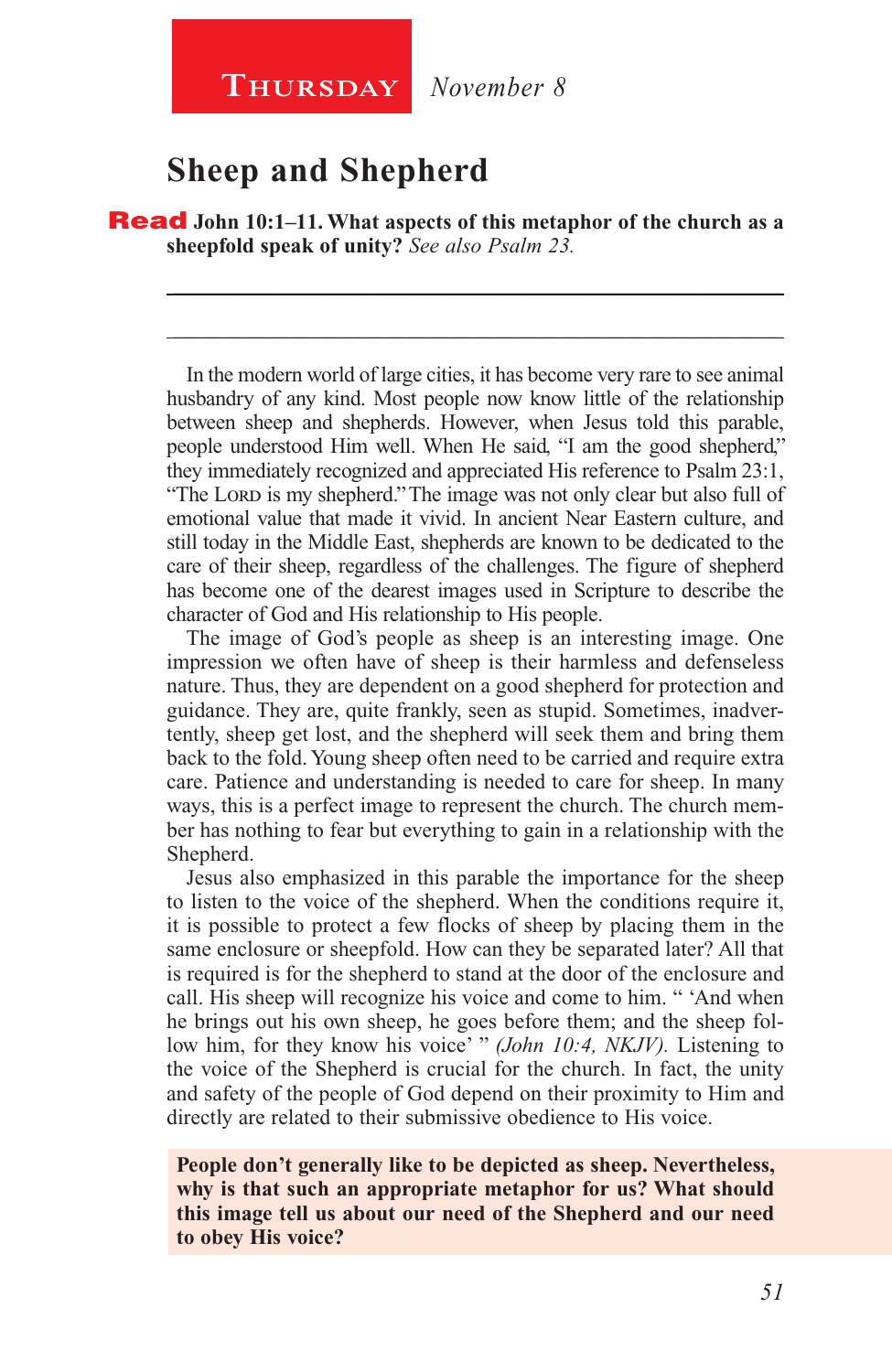**Thursday** *November 8*

# **Sheep and Shepherd**

Read **John 10:1–11. What aspects of this metaphor of the church as a sheepfold speak of unity?** *See also Psalm 23.*

\_\_\_\_\_\_\_\_\_\_\_\_\_\_\_\_\_\_\_\_\_\_\_\_\_\_\_\_\_\_\_\_\_\_\_\_\_\_\_\_\_\_\_\_\_\_\_\_\_\_\_\_\_\_\_\_

\_\_\_\_\_\_\_\_\_\_\_\_\_\_\_\_\_\_\_\_\_\_\_\_\_\_\_\_\_\_\_\_\_\_\_\_\_\_\_\_\_\_\_\_\_\_\_\_\_\_\_\_\_\_\_\_

In the modern world of large cities, it has become very rare to see animal husbandry of any kind. Most people now know little of the relationship between sheep and shepherds. However, when Jesus told this parable, people understood Him well. When He said, "I am the good shepherd," they immediately recognized and appreciated His reference to Psalm 23:1, "The Lord is my shepherd." The image was not only clear but also full of emotional value that made it vivid. In ancient Near Eastern culture, and still today in the Middle East, shepherds are known to be dedicated to the care of their sheep, regardless of the challenges. The figure of shepherd has become one of the dearest images used in Scripture to describe the character of God and His relationship to His people.

The image of God's people as sheep is an interesting image. One impression we often have of sheep is their harmless and defenseless nature. Thus, they are dependent on a good shepherd for protection and guidance. They are, quite frankly, seen as stupid. Sometimes, inadvertently, sheep get lost, and the shepherd will seek them and bring them back to the fold. Young sheep often need to be carried and require extra care. Patience and understanding is needed to care for sheep. In many ways, this is a perfect image to represent the church. The church member has nothing to fear but everything to gain in a relationship with the Shepherd.

Jesus also emphasized in this parable the importance for the sheep to listen to the voice of the shepherd. When the conditions require it, it is possible to protect a few flocks of sheep by placing them in the same enclosure or sheepfold. How can they be separated later? All that is required is for the shepherd to stand at the door of the enclosure and call. His sheep will recognize his voice and come to him. " 'And when he brings out his own sheep, he goes before them; and the sheep follow him, for they know his voice' " *(John 10:4, NKJV).* Listening to the voice of the Shepherd is crucial for the church. In fact, the unity and safety of the people of God depend on their proximity to Him and directly are related to their submissive obedience to His voice.

**People don't generally like to be depicted as sheep. Nevertheless, why is that such an appropriate metaphor for us? What should this image tell us about our need of the Shepherd and our need to obey His voice?**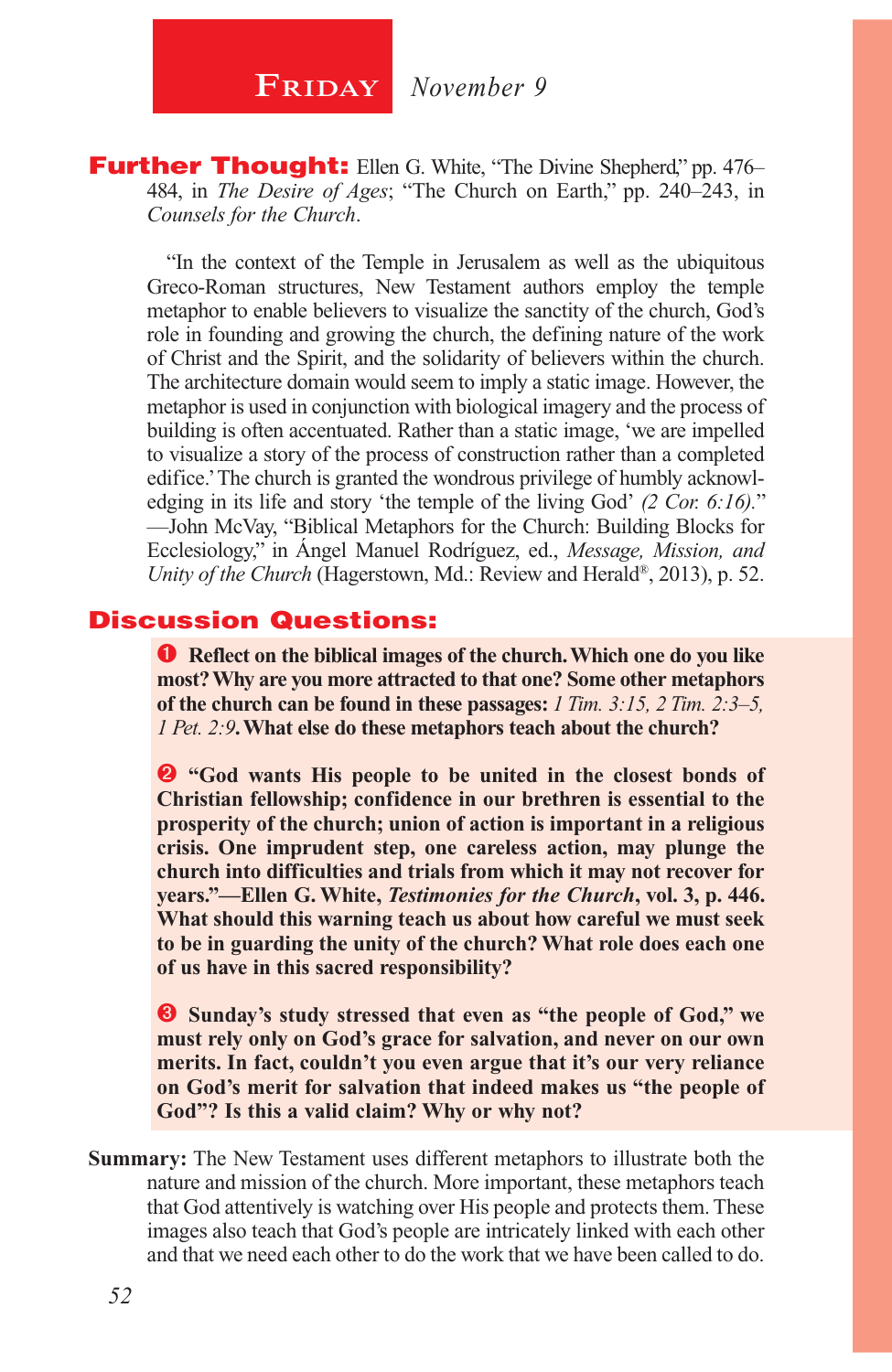**Further Thought:** Ellen G. White, "The Divine Shepherd," pp. 476– 484, in *The Desire of Ages*; "The Church on Earth," pp. 240–243, in *Counsels for the Church*.

"In the context of the Temple in Jerusalem as well as the ubiquitous Greco-Roman structures, New Testament authors employ the temple metaphor to enable believers to visualize the sanctity of the church, God's role in founding and growing the church, the defining nature of the work of Christ and the Spirit, and the solidarity of believers within the church. The architecture domain would seem to imply a static image. However, the metaphor is used in conjunction with biological imagery and the process of building is often accentuated. Rather than a static image, 'we are impelled to visualize a story of the process of construction rather than a completed edifice.' The church is granted the wondrous privilege of humbly acknowledging in its life and story 'the temple of the living God' *(2 Cor. 6:16).*" —John McVay, "Biblical Metaphors for the Church: Building Blocks for Ecclesiology," in Ángel Manuel Rodríguez, ed., *Message, Mission, and Unity of the Church* (Hagerstown, Md.: Review and Herald®, 2013), p. 52.

#### Discussion Questions:

**P** Reflect on the biblical images of the church. Which one do you like **most? Why are you more attracted to that one? Some other metaphors of the church can be found in these passages:** *1 Tim. 3:15, 2 Tim. 2:3–5, 1 Pet. 2:9***. What else do these metaphors teach about the church?**

**2** "God wants His people to be united in the closest bonds of **Christian fellowship; confidence in our brethren is essential to the prosperity of the church; union of action is important in a religious crisis. One imprudent step, one careless action, may plunge the church into difficulties and trials from which it may not recover for years."—Ellen G. White,** *Testimonies for the Church***, vol. 3, p. 446. What should this warning teach us about how careful we must seek to be in guarding the unity of the church? What role does each one of us have in this sacred responsibility?**

**Sunday's study stressed that even as "the people of God," we must rely only on God's grace for salvation, and never on our own merits. In fact, couldn't you even argue that it's our very reliance on God's merit for salvation that indeed makes us "the people of God"? Is this a valid claim? Why or why not?**

**Summary:** The New Testament uses different metaphors to illustrate both the nature and mission of the church. More important, these metaphors teach that God attentively is watching over His people and protects them. These images also teach that God's people are intricately linked with each other and that we need each other to do the work that we have been called to do.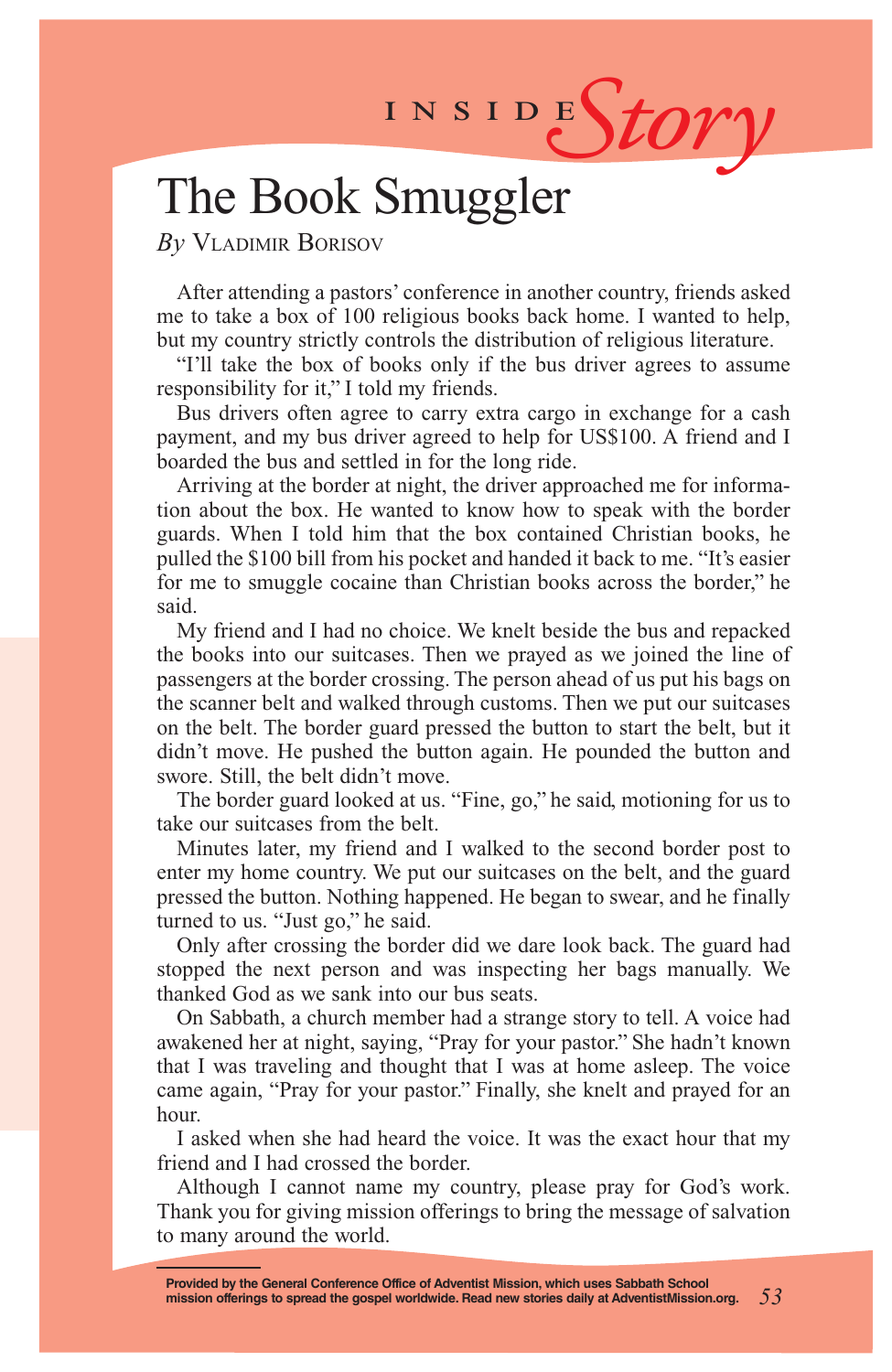INSIDEStory

# The Book Smuggler

*By* Vladimir Borisov

After attending a pastors' conference in another country, friends asked me to take a box of 100 religious books back home. I wanted to help, but my country strictly controls the distribution of religious literature.

"I'll take the box of books only if the bus driver agrees to assume responsibility for it," I told my friends.

Bus drivers often agree to carry extra cargo in exchange for a cash payment, and my bus driver agreed to help for US\$100. A friend and I boarded the bus and settled in for the long ride.

Arriving at the border at night, the driver approached me for information about the box. He wanted to know how to speak with the border guards. When I told him that the box contained Christian books, he pulled the \$100 bill from his pocket and handed it back to me. "It's easier for me to smuggle cocaine than Christian books across the border," he said.

My friend and I had no choice. We knelt beside the bus and repacked the books into our suitcases. Then we prayed as we joined the line of passengers at the border crossing. The person ahead of us put his bags on the scanner belt and walked through customs. Then we put our suitcases on the belt. The border guard pressed the button to start the belt, but it didn't move. He pushed the button again. He pounded the button and swore. Still, the belt didn't move.

The border guard looked at us. "Fine, go," he said, motioning for us to take our suitcases from the belt.

Minutes later, my friend and I walked to the second border post to enter my home country. We put our suitcases on the belt, and the guard pressed the button. Nothing happened. He began to swear, and he finally turned to us. "Just go," he said.

Only after crossing the border did we dare look back. The guard had stopped the next person and was inspecting her bags manually. We thanked God as we sank into our bus seats.

On Sabbath, a church member had a strange story to tell. A voice had awakened her at night, saying, "Pray for your pastor." She hadn't known that I was traveling and thought that I was at home asleep. The voice came again, "Pray for your pastor." Finally, she knelt and prayed for an hour.

I asked when she had heard the voice. It was the exact hour that my friend and I had crossed the border.

Although I cannot name my country, please pray for God's work. Thank you for giving mission offerings to bring the message of salvation to many around the world.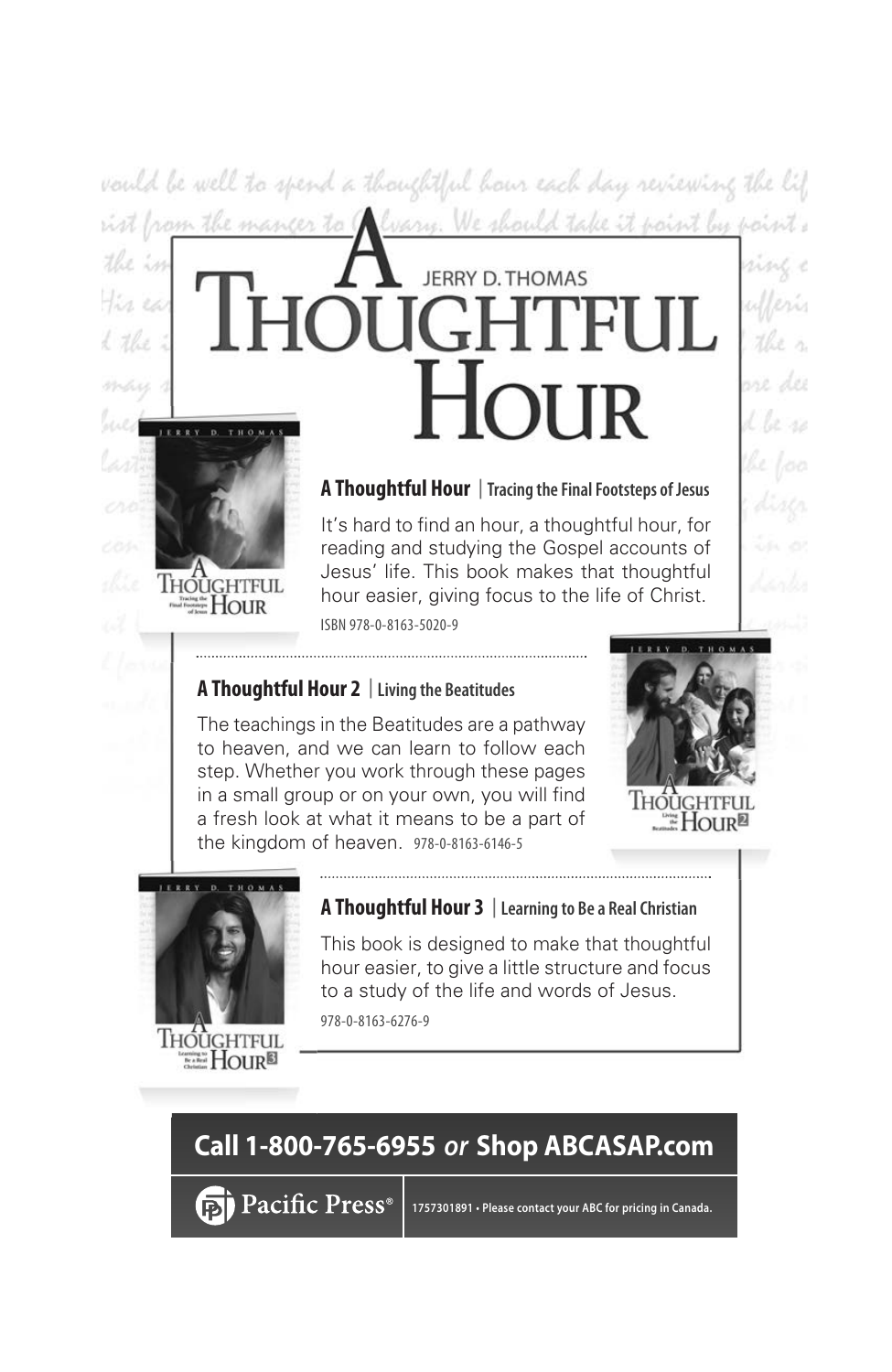vould be well to spend a thoughtful hour each day reviewing the lif ist from the manger to Chary. We should take it point by point:

# **JERRY D. THOMAS**

#### **A Thoughtful Hour** |**Tracing the Final Footsteps of Jesus**

It's hard to find an hour, a thoughtful hour, for reading and studying the Gospel accounts of Jesus' life. This book makes that thoughtful hour easier, giving focus to the life of Christ. ISBN 978-0-8163-5020-9

#### **A Thoughtful Hour 2** |**Living the Beatitudes**

The teachings in the Beatitudes are a pathway to heaven, and we can learn to follow each step. Whether you work through these pages in a small group or on your own, you will find a fresh look at what it means to be a part of the kingdom of heaven. 978-0-8163-6146-5



und

ine des





**ELE** HOUR<sup>®</sup>

**IHOUGHTFU** ≝Hour

the in

the ea d the

**A Thoughtful Hour 3** |**Learning to Be a Real Christian**

This book is designed to make that thoughtful hour easier, to give a little structure and focus to a study of the life and words of Jesus. 978-0-8163-6276-9

# **Call 1-800-765-6955** *or* **Shop ABCASAP.com**

**हों) Pacific Press**®

**1757301891 • Please contact your ABC for pricing in Canada.**